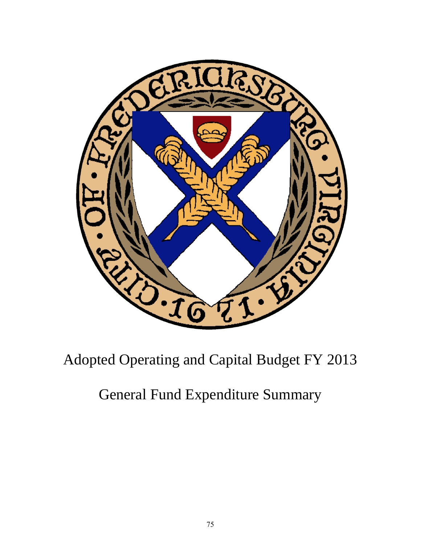

## Adopted Operating and Capital Budget FY 2013

## General Fund Expenditure Summary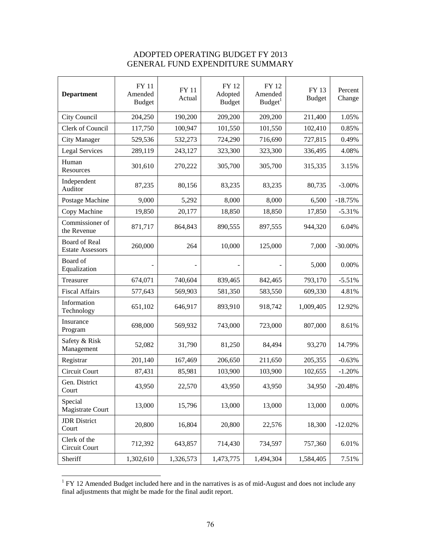## ADOPTED OPERATING BUDGET FY 2013 GENERAL FUND EXPENDITURE SUMMARY

| <b>Department</b>                               | <b>FY 11</b><br>Amended<br><b>Budget</b> | <b>FY 11</b><br>Actual | FY 12<br>Adopted<br><b>Budget</b> | FY 12<br>Amended<br>Budget <sup>1</sup> | FY 13<br><b>Budget</b> | Percent<br>Change |
|-------------------------------------------------|------------------------------------------|------------------------|-----------------------------------|-----------------------------------------|------------------------|-------------------|
| City Council                                    | 204,250                                  | 190,200                | 209,200                           | 209,200                                 | 211,400                | 1.05%             |
| Clerk of Council                                | 117,750                                  | 100,947                | 101,550                           | 101,550                                 | 102,410                | 0.85%             |
| <b>City Manager</b>                             | 529,536                                  | 532,273                | 724,290                           | 716,690                                 | 727,815                | 0.49%             |
| <b>Legal Services</b>                           | 289,119                                  | 243,127                | 323,300                           | 323,300                                 | 336,495                | 4.08%             |
| Human<br>Resources                              | 301,610                                  | 270,222                | 305,700                           | 305,700                                 | 315,335                | 3.15%             |
| Independent<br>Auditor                          | 87,235                                   | 80,156                 | 83,235                            | 83,235                                  | 80,735                 | $-3.00\%$         |
| Postage Machine                                 | 9,000                                    | 5,292                  | 8,000                             | 8,000                                   | 6,500                  | $-18.75%$         |
| Copy Machine                                    | 19,850                                   | 20,177                 | 18,850                            | 18,850                                  | 17,850                 | $-5.31%$          |
| Commissioner of<br>the Revenue                  | 871,717                                  | 864,843                | 890,555                           | 897,555                                 | 944,320                | 6.04%             |
| <b>Board of Real</b><br><b>Estate Assessors</b> | 260,000                                  | 264                    | 10,000                            | 125,000                                 | 7,000                  | $-30.00\%$        |
| Board of<br>Equalization                        |                                          |                        |                                   |                                         | 5,000                  | 0.00%             |
| Treasurer                                       | 674,071                                  | 740,604                | 839,465                           | 842,465                                 | 793,170                | $-5.51%$          |
| <b>Fiscal Affairs</b>                           | 577,643                                  | 569,903                | 581,350                           | 583,550                                 | 609,330                | 4.81%             |
| Information<br>Technology                       | 651,102                                  | 646,917                | 893,910                           | 918,742                                 | 1,009,405              | 12.92%            |
| Insurance<br>Program                            | 698,000                                  | 569,932                | 743,000                           | 723,000                                 | 807,000                | 8.61%             |
| Safety & Risk<br>Management                     | 52,082                                   | 31,790                 | 81,250                            | 84,494                                  | 93,270                 | 14.79%            |
| Registrar                                       | 201,140                                  | 167,469                | 206,650                           | 211,650                                 | 205,355                | $-0.63%$          |
| Circuit Court                                   | 87,431                                   | 85,981                 | 103,900                           | 103,900                                 | 102,655                | $-1.20%$          |
| Gen. District<br>Court                          | 43,950                                   | 22,570                 | 43,950                            | 43,950                                  | 34,950                 | $-20.48%$         |
| Special<br>Magistrate Court                     | 13,000                                   | 15,796                 | 13,000                            | 13,000                                  | 13,000                 | 0.00%             |
| <b>JDR</b> District<br>Court                    | 20,800                                   | 16,804                 | 20,800                            | 22,576                                  | 18,300                 | $-12.02%$         |
| Clerk of the<br>Circuit Court                   | 712,392                                  | 643,857                | 714,430                           | 734,597                                 | 757,360                | 6.01%             |
| Sheriff                                         | 1,302,610                                | 1,326,573              | 1,473,775                         | 1,494,304                               | 1,584,405              | 7.51%             |

<sup>&</sup>lt;sup>1</sup> FY 12 Amended Budget included here and in the narratives is as of mid-August and does not include any final adjustments that might be made for the final audit report.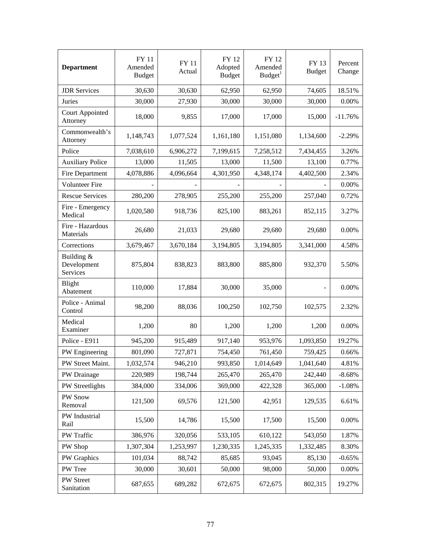| <b>Department</b>                     | <b>FY 11</b><br>Amended<br><b>Budget</b> | <b>FY 11</b><br>Actual | FY 12<br>Adopted<br><b>Budget</b> | FY 12<br>Amended<br>Budget <sup>1</sup> | FY 13<br><b>Budget</b> | Percent<br>Change |
|---------------------------------------|------------------------------------------|------------------------|-----------------------------------|-----------------------------------------|------------------------|-------------------|
| <b>JDR</b> Services                   | 30,630                                   | 30,630                 | 62,950                            | 62,950                                  | 74,605                 | 18.51%            |
| Juries                                | 30,000                                   | 27,930                 | 30,000                            | 30,000                                  | 30,000                 | 0.00%             |
| <b>Court Appointed</b><br>Attorney    | 18,000                                   | 9,855                  | 17,000                            | 17,000                                  | 15,000                 | $-11.76%$         |
| Commonwealth's<br>Attorney            | 1,148,743                                | 1,077,524              | 1,161,180                         | 1,151,080                               | 1,134,600              | $-2.29%$          |
| Police                                | 7,038,610                                | 6,906,272              | 7,199,615                         | 7,258,512                               | 7,434,455              | 3.26%             |
| <b>Auxiliary Police</b>               | 13,000                                   | 11,505                 | 13,000                            | 11,500                                  | 13,100                 | 0.77%             |
| Fire Department                       | 4,078,886                                | 4,096,664              | 4,301,950                         | 4,348,174                               | 4,402,500              | 2.34%             |
| Volunteer Fire                        |                                          |                        |                                   |                                         |                        | 0.00%             |
| <b>Rescue Services</b>                | 280,200                                  | 278,905                | 255,200                           | 255,200                                 | 257,040                | 0.72%             |
| Fire - Emergency<br>Medical           | 1,020,580                                | 918,736                | 825,100                           | 883,261                                 | 852,115                | 3.27%             |
| Fire - Hazardous<br>Materials         | 26,680                                   | 21,033                 | 29,680                            | 29,680                                  | 29,680                 | 0.00%             |
| Corrections                           | 3,679,467                                | 3,670,184              | 3,194,805                         | 3,194,805                               | 3,341,000              | 4.58%             |
| Building &<br>Development<br>Services | 875,804                                  | 838,823                | 883,800                           | 885,800                                 | 932,370                | 5.50%             |
| Blight<br>Abatement                   | 110,000                                  | 17,884                 | 30,000                            | 35,000                                  |                        | 0.00%             |
| Police - Animal<br>Control            | 98,200                                   | 88,036                 | 100,250                           | 102,750                                 | 102,575                | 2.32%             |
| Medical<br>Examiner                   | 1,200                                    | 80                     | 1,200                             | 1,200                                   | 1,200                  | 0.00%             |
| Police - E911                         | 945,200                                  | 915,489                | 917,140                           | 953,976                                 | 1,093,850              | 19.27%            |
| PW Engineering                        | 801,090                                  | 727,871                | 754,450                           | 761,450                                 | 759,425                | 0.66%             |
| PW Street Maint.                      | 1,032,574                                | 946,210                | 993,850                           | 1,014,649                               | 1,041,640              | 4.81%             |
| PW Drainage                           | 220,989                                  | 198,744                | 265,470                           | 265,470                                 | 242,440                | $-8.68%$          |
| PW Streetlights                       | 384,000                                  | 334,006                | 369,000                           | 422,328                                 | 365,000                | $-1.08%$          |
| PW Snow<br>Removal                    | 121,500                                  | 69,576                 | 121,500                           | 42,951                                  | 129,535                | 6.61%             |
| PW Industrial<br>Rail                 | 15,500                                   | 14,786                 | 15,500                            | 17,500                                  | 15,500                 | 0.00%             |
| PW Traffic                            | 386,976                                  | 320,056                | 533,105                           | 610,122                                 | 543,050                | 1.87%             |
| PW Shop                               | 1,307,304                                | 1,253,997              | 1,230,335                         | 1,245,335                               | 1,332,485              | 8.30%             |
| PW Graphics                           | 101,034                                  | 88,742                 | 85,685                            | 93,045                                  | 85,130                 | $-0.65%$          |
| PW Tree                               | 30,000                                   | 30,601                 | 50,000                            | 98,000                                  | 50,000                 | 0.00%             |
| PW Street<br>Sanitation               | 687,655                                  | 689,282                | 672,675                           | 672,675                                 | 802,315                | 19.27%            |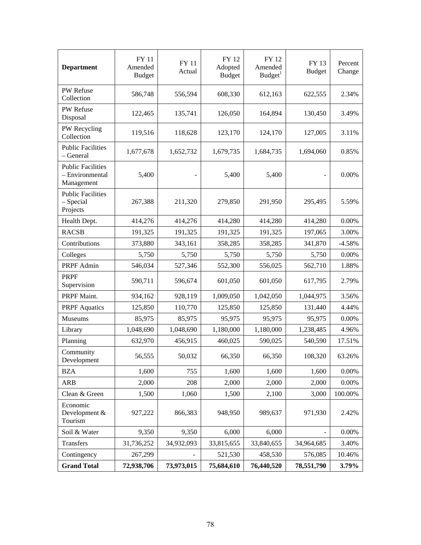| <b>Department</b>                                         | <b>FY 11</b><br>Amended<br><b>Budget</b> | <b>FY 11</b><br>Actual              | FY 12<br>Adopted<br><b>Budget</b> | FY 12<br>Amended<br>Budget <sup>1</sup> | FY 13<br><b>Budget</b>   | Percent<br>Change |
|-----------------------------------------------------------|------------------------------------------|-------------------------------------|-----------------------------------|-----------------------------------------|--------------------------|-------------------|
| PW Refuse<br>Collection                                   | 586,748                                  | 556,594                             | 608,330                           | 612,163                                 | 622,555                  | 2.34%             |
| PW Refuse<br>Disposal                                     | 122,465                                  | 135,741                             | 126,050                           | 164,894                                 | 130,450                  | 3.49%             |
| PW Recycling<br>Collection                                | 119,516                                  | 118,628                             | 123,170                           | 124,170                                 | 127,005                  | 3.11%             |
| <b>Public Facilities</b><br>- General                     | 1,677,678                                | 1,652,732<br>1,679,735<br>1,684,735 |                                   | 1,694,060                               | 0.85%                    |                   |
| <b>Public Facilities</b><br>- Environmental<br>Management | 5,400                                    | 5,400                               |                                   | 5,400                                   | $\overline{\phantom{m}}$ | 0.00%             |
| <b>Public Facilities</b><br>$-$ Special<br>Projects       | 267,388                                  | 211,320                             | 279,850                           | 291,950                                 | 295,495                  | 5.59%             |
| Health Dept.                                              | 414,276                                  | 414,276                             | 414,280                           | 414,280                                 | 414,280                  | 0.00%             |
| <b>RACSB</b>                                              | 191,325                                  | 191,325                             | 191,325                           | 191,325                                 | 197,065                  | 3.00%             |
| Contributions                                             | 373,880                                  | 343,161                             | 358,285                           | 358,285                                 | 341,870                  | $-4.58%$          |
| Colleges                                                  | 5,750                                    | 5,750                               | 5,750                             | 5,750                                   | 5,750                    | 0.00%             |
| PRPF Admin                                                | 546,034                                  | 527,346                             | 552,300                           | 556,025                                 | 562,710                  | 1.88%             |
| <b>PRPF</b><br>Supervision                                | 590,711                                  | 596,674                             | 601,050                           | 601,050                                 | 617,795                  | 2.79%             |
| PRPF Maint.                                               | 934,162                                  | 928,119<br>1,009,050<br>1,042,050   |                                   | 1,044,975                               | 3.56%                    |                   |
| <b>PRPF</b> Aquatics                                      | 125,850                                  | 110,770                             | 125,850                           | 125,850                                 | 131,440                  | 4.44%             |
| Museums                                                   | 85,975                                   | 85,975                              | 95,975                            | 95,975                                  | 95,975                   | 0.00%             |
| Library                                                   | 1,048,690                                | 1,048,690                           | 1,180,000                         | 1,180,000                               | 1,238,485                | 4.96%             |
| Planning                                                  | 632,970                                  | 456,915                             | 460,025                           | 590,025                                 | 540,590                  | 17.51%            |
| Community<br>Development                                  | 56,555                                   | 50,032                              | 66,350                            | 66,350                                  | 108,320                  | 63.26%            |
| <b>BZA</b>                                                | 1,600                                    | 755                                 | 1,600                             | 1,600                                   | 1,600                    | $0.00\%$          |
| <b>ARB</b>                                                | 2,000                                    | 208                                 | 2,000                             | 2,000                                   | 2,000                    | 0.00%             |
| Clean & Green                                             | 1,500                                    | 1,060                               | 1,500                             | 2,100                                   | 3,000                    | 100.00%           |
| Economic<br>Development &<br>Tourism                      | 927,222                                  | 866,383                             | 948,950                           | 989,637                                 | 971,930                  | 2.42%             |
| Soil & Water                                              | 9,350                                    | 9,350<br>6,000<br>6,000             |                                   |                                         | 0.00%                    |                   |
| Transfers                                                 | 31,736,252                               | 34,932,093                          | 33,815,655                        | 33,840,655                              | 34,964,685               | 3.40%             |
| Contingency                                               | 267,299                                  |                                     | 521,530                           | 458,530                                 | 576,085                  | 10.46%            |
| <b>Grand Total</b>                                        | 72,938,706                               | 73,973,015                          | 75,684,610                        | 76,440,520                              | 78,551,790               | 3.79%             |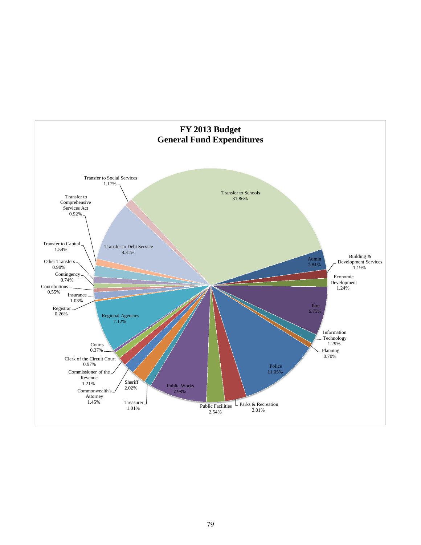